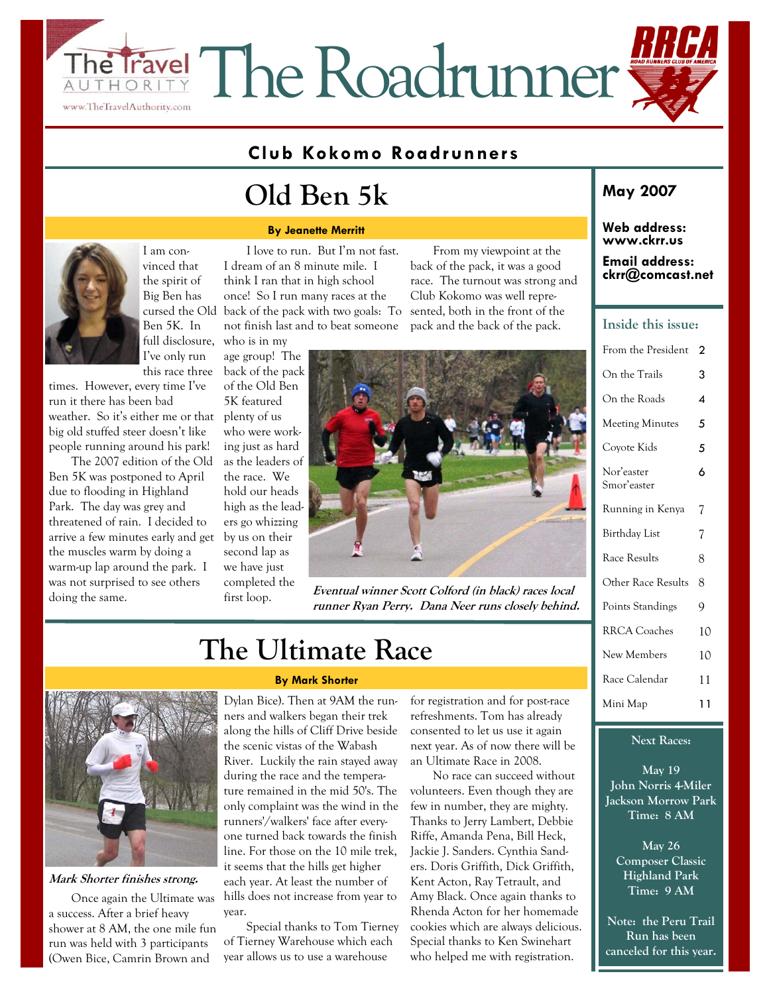## Travel The Roadrunner THORI www.TheTravelAuthority.com

### **Club Kokomo Roadrunners**

## **Old Ben 5k**

#### **By Jeanette Merritt**

I am convinced that the spirit of Big Ben has cursed the Old Ben 5K. In full disclosure, I've only run this race three who is in my

times. However, every time I've run it there has been bad weather. So it's either me or that big old stuffed steer doesn't like people running around his park!

The 2007 edition of the Old Ben 5K was postponed to April due to flooding in Highland Park. The day was grey and threatened of rain. I decided to arrive a few minutes early and get the muscles warm by doing a warm-up lap around the park. I was not surprised to see others doing the same.

I love to run. But I'm not fast. I dream of an 8 minute mile. I think I ran that in high school once! So I run many races at the back of the pack with two goals: To sented, both in the front of the not finish last and to beat someone

age group! The back of the pack of the Old Ben 5K featured plenty of us who were working just as hard as the leaders of the race. We hold our heads high as the leaders go whizzing by us on their second lap as we have just completed the first loop.

From my viewpoint at the back of the pack, it was a good race. The turnout was strong and Club Kokomo was well reprepack and the back of the pack.



**Eventual winner Scott Colford (in black) races local runner Ryan Perry. Dana Neer runs closely behind.** 

## **The Ultimate Race**



**Mark Shorter finishes strong.** 

Once again the Ultimate was a success. After a brief heavy shower at 8 AM, the one mile fun run was held with 3 participants (Owen Bice, Camrin Brown and

#### **By Mark Shorter**

Dylan Bice). Then at 9AM the runners and walkers began their trek along the hills of Cliff Drive beside the scenic vistas of the Wabash River. Luckily the rain stayed away during the race and the temperature remained in the mid 50's. The only complaint was the wind in the runners'/walkers' face after everyone turned back towards the finish line. For those on the 10 mile trek, it seems that the hills get higher each year. At least the number of hills does not increase from year to year.

Special thanks to Tom Tierney of Tierney Warehouse which each year allows us to use a warehouse

for registration and for post-race refreshments. Tom has already consented to let us use it again next year. As of now there will be an Ultimate Race in 2008.

No race can succeed without volunteers. Even though they are few in number, they are mighty. Thanks to Jerry Lambert, Debbie Riffe, Amanda Pena, Bill Heck, Jackie J. Sanders. Cynthia Sanders. Doris Griffith, Dick Griffith, Kent Acton, Ray Tetrault, and Amy Black. Once again thanks to Rhenda Acton for her homemade cookies which are always delicious. Special thanks to Ken Swinehart who helped me with registration.

### **May 2007**

### **Web address: www.ckrr.us**

#### **Email address: ckrr@comcast.net**

### **Inside this issue:**

| From the President        | 2  |
|---------------------------|----|
| On the Trails             | 3  |
| On the Roads              | 4  |
| <b>Meeting Minutes</b>    | 5  |
| Covote Kids               | 5  |
| Nor'easter<br>Smor'easter | 6  |
| Running in Kenya          | 7  |
| Birthday List             | 7  |
| Race Results              | 8  |
| Other Race Results        | 8  |
| Points Standings          | 9  |
| <b>RRCA</b> Coaches       | 10 |
| New Members               | 10 |
| Race Calendar             | 11 |
| Mini Map                  | 11 |

### **Next Races:**

**May 19 John Norris 4-Miler Jackson Morrow Park Time: 8 AM** 

**May 26 Composer Classic Highland Park Time: 9 AM** 

**Note: the Peru Trail Run has been canceled for this year.**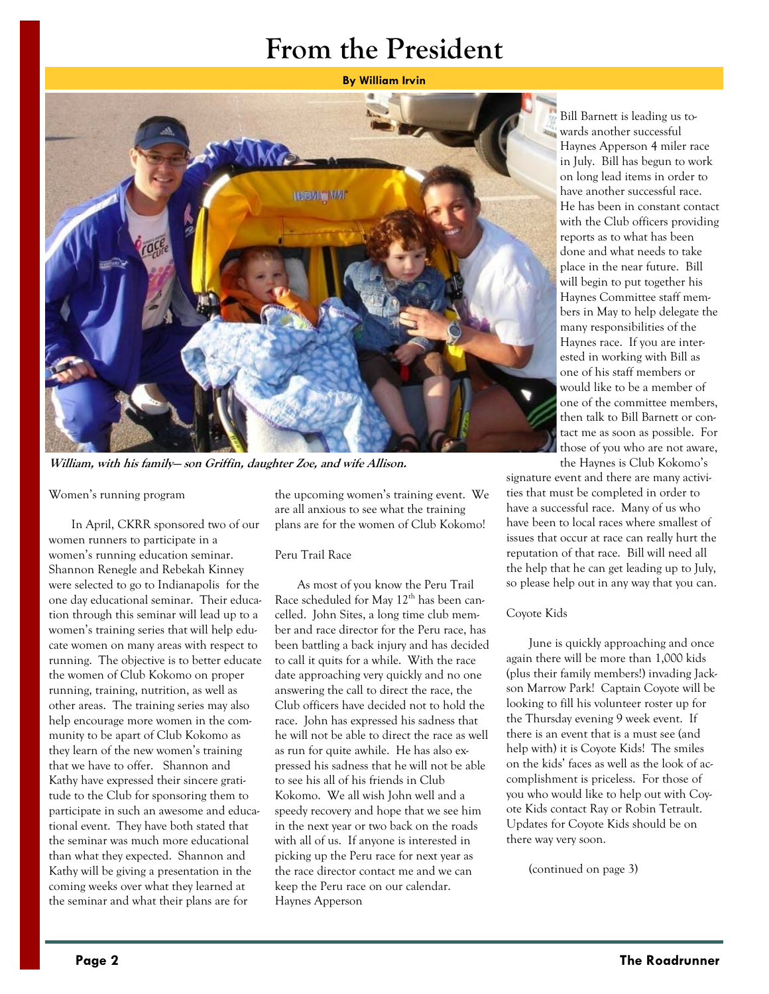## **From the President**

**By William Irvin** 



**William, with his family— son Griffin, daughter Zoe, and wife Allison.** 

### Women's running program

In April, CKRR sponsored two of our women runners to participate in a women's running education seminar. Shannon Renegle and Rebekah Kinney were selected to go to Indianapolis for the one day educational seminar. Their education through this seminar will lead up to a women's training series that will help educate women on many areas with respect to running. The objective is to better educate the women of Club Kokomo on proper running, training, nutrition, as well as other areas. The training series may also help encourage more women in the community to be apart of Club Kokomo as they learn of the new women's training that we have to offer. Shannon and Kathy have expressed their sincere gratitude to the Club for sponsoring them to participate in such an awesome and educational event. They have both stated that the seminar was much more educational than what they expected. Shannon and Kathy will be giving a presentation in the coming weeks over what they learned at the seminar and what their plans are for

the upcoming women's training event. We are all anxious to see what the training plans are for the women of Club Kokomo!

### Peru Trail Race

As most of you know the Peru Trail Race scheduled for May  $12<sup>th</sup>$  has been cancelled. John Sites, a long time club member and race director for the Peru race, has been battling a back injury and has decided to call it quits for a while. With the race date approaching very quickly and no one answering the call to direct the race, the Club officers have decided not to hold the race. John has expressed his sadness that he will not be able to direct the race as well as run for quite awhile. He has also expressed his sadness that he will not be able to see his all of his friends in Club Kokomo. We all wish John well and a speedy recovery and hope that we see him in the next year or two back on the roads with all of us. If anyone is interested in picking up the Peru race for next year as the race director contact me and we can keep the Peru race on our calendar. Haynes Apperson

Bill Barnett is leading us towards another successful Haynes Apperson 4 miler race in July. Bill has begun to work on long lead items in order to have another successful race. He has been in constant contact with the Club officers providing reports as to what has been done and what needs to take place in the near future. Bill will begin to put together his Haynes Committee staff members in May to help delegate the many responsibilities of the Haynes race. If you are interested in working with Bill as one of his staff members or would like to be a member of one of the committee members, then talk to Bill Barnett or contact me as soon as possible. For those of you who are not aware, the Haynes is Club Kokomo's

signature event and there are many activities that must be completed in order to have a successful race. Many of us who have been to local races where smallest of issues that occur at race can really hurt the reputation of that race. Bill will need all the help that he can get leading up to July, so please help out in any way that you can.

### Coyote Kids

June is quickly approaching and once again there will be more than 1,000 kids (plus their family members!) invading Jackson Marrow Park! Captain Coyote will be looking to fill his volunteer roster up for the Thursday evening 9 week event. If there is an event that is a must see (and help with) it is Coyote Kids! The smiles on the kids' faces as well as the look of accomplishment is priceless. For those of you who would like to help out with Coyote Kids contact Ray or Robin Tetrault. Updates for Coyote Kids should be on there way very soon.

(continued on page 3)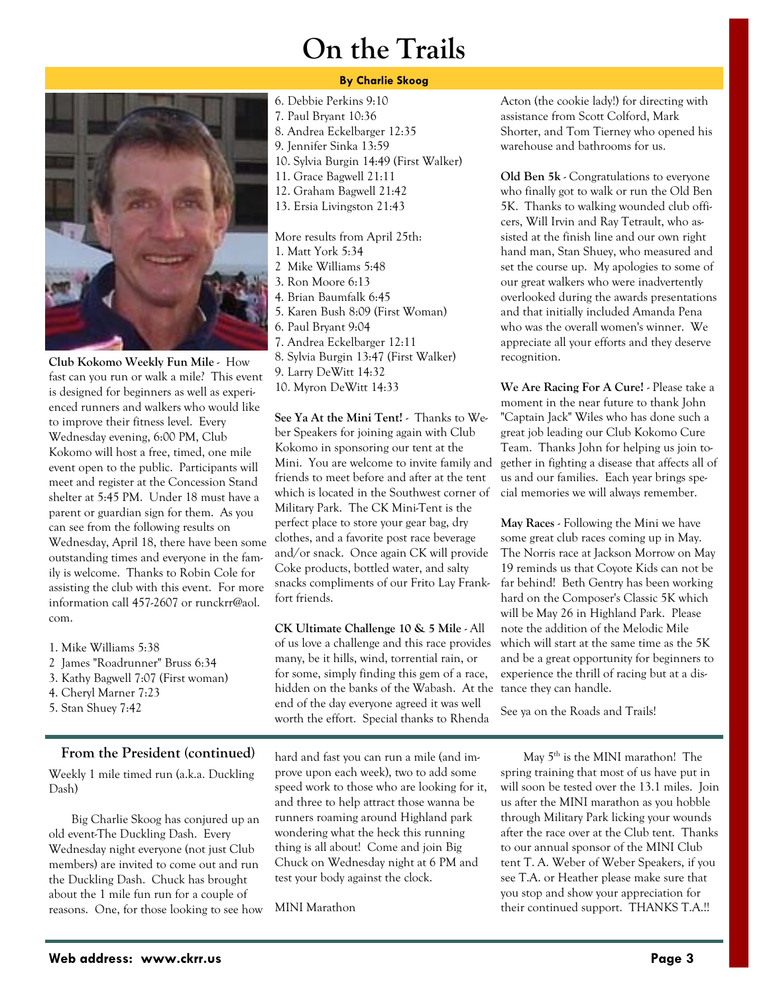## **On the Trails**

### **By Charlie Skoog**

6. Debbie Perkins 9:10



**Club Kokomo Weekly Fun Mile** - How fast can you run or walk a mile? This event is designed for beginners as well as experienced runners and walkers who would like to improve their fitness level. Every Wednesday evening, 6:00 PM, Club Kokomo will host a free, timed, one mile event open to the public. Participants will meet and register at the Concession Stand shelter at 5:45 PM. Under 18 must have a parent or guardian sign for them. As you can see from the following results on Wednesday, April 18, there have been some outstanding times and everyone in the family is welcome. Thanks to Robin Cole for assisting the club with this event. For more information call 457-2607 or runckrr@aol. com.

- 1. Mike Williams 5:38
- 2 James "Roadrunner" Bruss 6:34
- 3. Kathy Bagwell 7:07 (First woman)
- 4. Cheryl Marner 7:23
- 5. Stan Shuey 7:42

### **From the President (continued)**

Weekly 1 mile timed run (a.k.a. Duckling Dash)

Big Charlie Skoog has conjured up an old event-The Duckling Dash. Every Wednesday night everyone (not just Club members) are invited to come out and run the Duckling Dash. Chuck has brought about the 1 mile fun run for a couple of reasons. One, for those looking to see how

- 7. Paul Bryant 10:36 8. Andrea Eckelbarger 12:35 9. Jennifer Sinka 13:59 10. Sylvia Burgin 14:49 (First Walker) 11. Grace Bagwell 21:11 12. Graham Bagwell 21:42 13. Ersia Livingston 21:43 More results from April 25th: 1. Matt York 5:34 2 Mike Williams 5:48 3. Ron Moore 6:13 4. Brian Baumfalk 6:45 5. Karen Bush 8:09 (First Woman) 6. Paul Bryant 9:04 7. Andrea Eckelbarger 12:11 8. Sylvia Burgin 13:47 (First Walker) 9. Larry DeWitt 14:32
- 10. Myron DeWitt 14:33

**See Ya At the Mini Tent!** - Thanks to Weber Speakers for joining again with Club Kokomo in sponsoring our tent at the Mini. You are welcome to invite family and friends to meet before and after at the tent which is located in the Southwest corner of Military Park. The CK Mini-Tent is the perfect place to store your gear bag, dry clothes, and a favorite post race beverage and/or snack. Once again CK will provide Coke products, bottled water, and salty snacks compliments of our Frito Lay Frankfort friends.

**CK Ultimate Challenge 10 & 5 Mile** - All of us love a challenge and this race provides many, be it hills, wind, torrential rain, or for some, simply finding this gem of a race, hidden on the banks of the Wabash. At the end of the day everyone agreed it was well worth the effort. Special thanks to Rhenda

hard and fast you can run a mile (and improve upon each week), two to add some speed work to those who are looking for it, and three to help attract those wanna be runners roaming around Highland park wondering what the heck this running thing is all about! Come and join Big Chuck on Wednesday night at 6 PM and test your body against the clock.

MINI Marathon

Acton (the cookie lady!) for directing with assistance from Scott Colford, Mark Shorter, and Tom Tierney who opened his warehouse and bathrooms for us.

**Old Ben 5k** - Congratulations to everyone who finally got to walk or run the Old Ben 5K. Thanks to walking wounded club officers, Will Irvin and Ray Tetrault, who assisted at the finish line and our own right hand man, Stan Shuey, who measured and set the course up. My apologies to some of our great walkers who were inadvertently overlooked during the awards presentations and that initially included Amanda Pena who was the overall women's winner. We appreciate all your efforts and they deserve recognition.

**We Are Racing For A Cure!** - Please take a moment in the near future to thank John "Captain Jack" Wiles who has done such a great job leading our Club Kokomo Cure Team. Thanks John for helping us join together in fighting a disease that affects all of us and our families. Each year brings special memories we will always remember.

**May Races** - Following the Mini we have some great club races coming up in May. The Norris race at Jackson Morrow on May 19 reminds us that Coyote Kids can not be far behind! Beth Gentry has been working hard on the Composer's Classic 5K which will be May 26 in Highland Park. Please note the addition of the Melodic Mile which will start at the same time as the 5K and be a great opportunity for beginners to experience the thrill of racing but at a distance they can handle.

See ya on the Roads and Trails!

May  $5<sup>th</sup>$  is the MINI marathon! The spring training that most of us have put in will soon be tested over the 13.1 miles. Join us after the MINI marathon as you hobble through Military Park licking your wounds after the race over at the Club tent. Thanks to our annual sponsor of the MINI Club tent T. A. Weber of Weber Speakers, if you see T.A. or Heather please make sure that you stop and show your appreciation for their continued support. THANKS T.A.!!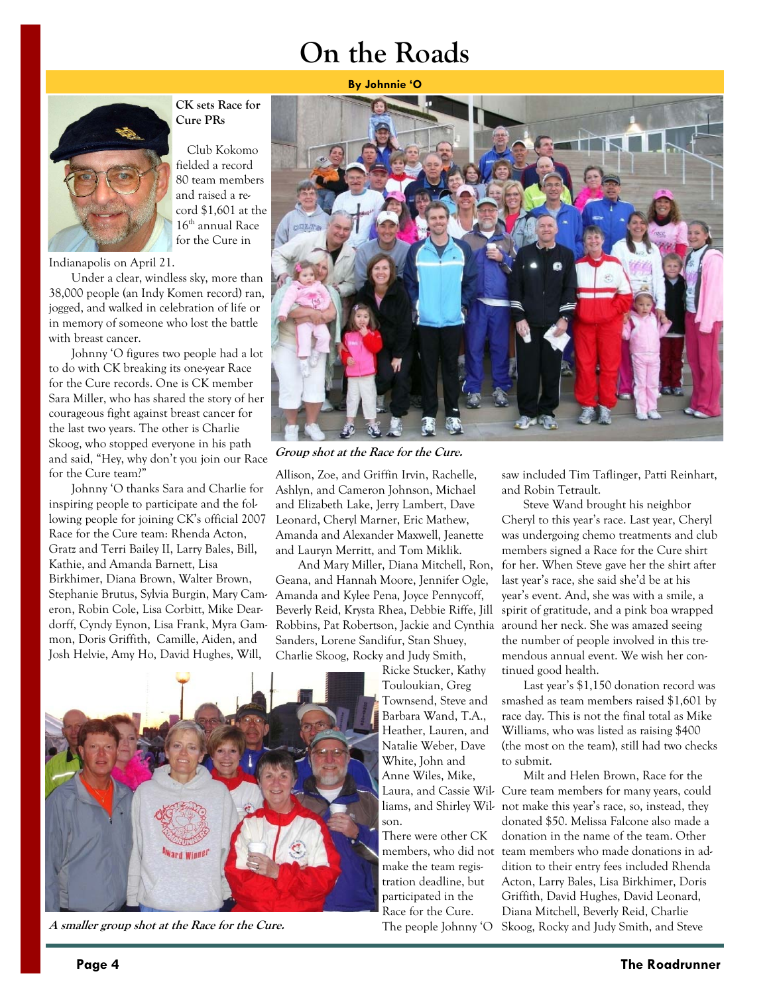## **On the Roads**



**CK sets Race for Cure PRs** 

Club Kokomo fielded a record 80 team members and raised a record \$1,601 at the 16<sup>th</sup> annual Race for the Cure in

Indianapolis on April 21.

Under a clear, windless sky, more than 38,000 people (an Indy Komen record) ran, jogged, and walked in celebration of life or in memory of someone who lost the battle with breast cancer.

Johnny 'O figures two people had a lot to do with CK breaking its one-year Race for the Cure records. One is CK member Sara Miller, who has shared the story of her courageous fight against breast cancer for the last two years. The other is Charlie Skoog, who stopped everyone in his path and said, "Hey, why don't you join our Race for the Cure team?"

Johnny 'O thanks Sara and Charlie for inspiring people to participate and the following people for joining CK's official 2007 Race for the Cure team: Rhenda Acton, Gratz and Terri Bailey II, Larry Bales, Bill, Kathie, and Amanda Barnett, Lisa Birkhimer, Diana Brown, Walter Brown, Stephanie Brutus, Sylvia Burgin, Mary Cameron, Robin Cole, Lisa Corbitt, Mike Deardorff, Cyndy Eynon, Lisa Frank, Myra Gammon, Doris Griffith, Camille, Aiden, and Josh Helvie, Amy Ho, David Hughes, Will,



**Group shot at the Race for the Cure.** 

Allison, Zoe, and Griffin Irvin, Rachelle, Ashlyn, and Cameron Johnson, Michael and Elizabeth Lake, Jerry Lambert, Dave Leonard, Cheryl Marner, Eric Mathew, Amanda and Alexander Maxwell, Jeanette and Lauryn Merritt, and Tom Miklik.

And Mary Miller, Diana Mitchell, Ron, Geana, and Hannah Moore, Jennifer Ogle, Amanda and Kylee Pena, Joyce Pennycoff, Beverly Reid, Krysta Rhea, Debbie Riffe, Jill Robbins, Pat Robertson, Jackie and Cynthia Sanders, Lorene Sandifur, Stan Shuey, Charlie Skoog, Rocky and Judy Smith,

Ricke Stucker, Kathy Touloukian, Greg Townsend, Steve and Barbara Wand, T.A., Heather, Lauren, and Natalie Weber, Dave White, John and Anne Wiles, Mike, son.

There were other CK members, who did not make the team registration deadline, but participated in the Race for the Cure.

saw included Tim Taflinger, Patti Reinhart, and Robin Tetrault.

Steve Wand brought his neighbor Cheryl to this year's race. Last year, Cheryl was undergoing chemo treatments and club members signed a Race for the Cure shirt for her. When Steve gave her the shirt after last year's race, she said she'd be at his year's event. And, she was with a smile, a spirit of gratitude, and a pink boa wrapped around her neck. She was amazed seeing the number of people involved in this tremendous annual event. We wish her continued good health.

Last year's \$1,150 donation record was smashed as team members raised \$1,601 by race day. This is not the final total as Mike Williams, who was listed as raising \$400 (the most on the team), still had two checks to submit.

Milt and Helen Brown, Race for the Laura, and Cassie Wil- Cure team members for many years, could liams, and Shirley Wil- not make this year's race, so, instead, they donated \$50. Melissa Falcone also made a donation in the name of the team. Other team members who made donations in addition to their entry fees included Rhenda Acton, Larry Bales, Lisa Birkhimer, Doris Griffith, David Hughes, David Leonard, Diana Mitchell, Beverly Reid, Charlie Skoog, Rocky and Judy Smith, and Steve



A smaller group shot at the Race for the Cure. The people Johnny 'O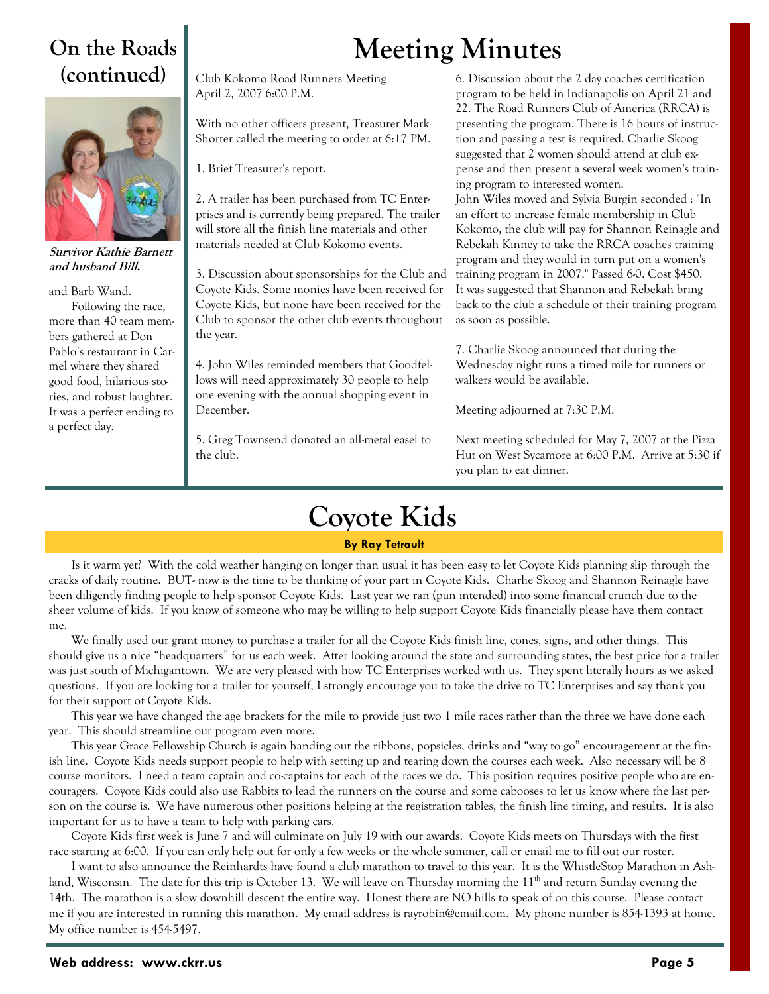### **On the Roads (continued)**



**Survivor Kathie Barnett and husband Bill.** 

and Barb Wand.

Following the race, more than 40 team members gathered at Don Pablo's restaurant in Carmel where they shared good food, hilarious stories, and robust laughter. It was a perfect ending to a perfect day.

Club Kokomo Road Runners Meeting April 2, 2007 6:00 P.M.

With no other officers present, Treasurer Mark Shorter called the meeting to order at 6:17 PM.

1. Brief Treasurer's report.

2. A trailer has been purchased from TC Enterprises and is currently being prepared. The trailer will store all the finish line materials and other materials needed at Club Kokomo events.

3. Discussion about sponsorships for the Club and Coyote Kids. Some monies have been received for Coyote Kids, but none have been received for the Club to sponsor the other club events throughout the year.

4. John Wiles reminded members that Goodfellows will need approximately 30 people to help one evening with the annual shopping event in December.

5. Greg Townsend donated an all-metal easel to the club.

# **Meeting Minutes**

6. Discussion about the 2 day coaches certification program to be held in Indianapolis on April 21 and 22. The Road Runners Club of America (RRCA) is presenting the program. There is 16 hours of instruction and passing a test is required. Charlie Skoog suggested that 2 women should attend at club expense and then present a several week women's training program to interested women. John Wiles moved and Sylvia Burgin seconded : "In an effort to increase female membership in Club Kokomo, the club will pay for Shannon Reinagle and Rebekah Kinney to take the RRCA coaches training program and they would in turn put on a women's training program in 2007." Passed 6-0. Cost \$450. It was suggested that Shannon and Rebekah bring back to the club a schedule of their training program as soon as possible.

7. Charlie Skoog announced that during the Wednesday night runs a timed mile for runners or walkers would be available.

Meeting adjourned at 7:30 P.M.

Next meeting scheduled for May 7, 2007 at the Pizza Hut on West Sycamore at 6:00 P.M. Arrive at 5:30 if you plan to eat dinner.

## **Coyote Kids**

### **By Ray Tetrault**

Is it warm yet? With the cold weather hanging on longer than usual it has been easy to let Coyote Kids planning slip through the cracks of daily routine. BUT- now is the time to be thinking of your part in Coyote Kids. Charlie Skoog and Shannon Reinagle have been diligently finding people to help sponsor Coyote Kids. Last year we ran (pun intended) into some financial crunch due to the sheer volume of kids. If you know of someone who may be willing to help support Coyote Kids financially please have them contact me.

We finally used our grant money to purchase a trailer for all the Coyote Kids finish line, cones, signs, and other things. This should give us a nice "headquarters" for us each week. After looking around the state and surrounding states, the best price for a trailer was just south of Michigantown. We are very pleased with how TC Enterprises worked with us. They spent literally hours as we asked questions. If you are looking for a trailer for yourself, I strongly encourage you to take the drive to TC Enterprises and say thank you for their support of Coyote Kids.

This year we have changed the age brackets for the mile to provide just two 1 mile races rather than the three we have done each year. This should streamline our program even more.

This year Grace Fellowship Church is again handing out the ribbons, popsicles, drinks and "way to go" encouragement at the finish line. Coyote Kids needs support people to help with setting up and tearing down the courses each week. Also necessary will be 8 course monitors. I need a team captain and co-captains for each of the races we do. This position requires positive people who are encouragers. Coyote Kids could also use Rabbits to lead the runners on the course and some cabooses to let us know where the last person on the course is. We have numerous other positions helping at the registration tables, the finish line timing, and results. It is also important for us to have a team to help with parking cars.

Coyote Kids first week is June 7 and will culminate on July 19 with our awards. Coyote Kids meets on Thursdays with the first race starting at 6:00. If you can only help out for only a few weeks or the whole summer, call or email me to fill out our roster.

I want to also announce the Reinhardts have found a club marathon to travel to this year. It is the WhistleStop Marathon in Ashland, Wisconsin. The date for this trip is October 13. We will leave on Thursday morning the  $11<sup>th</sup>$  and return Sunday evening the 14th. The marathon is a slow downhill descent the entire way. Honest there are NO hills to speak of on this course. Please contact me if you are interested in running this marathon. My email address is rayrobin@email.com. My phone number is 854-1393 at home. My office number is 454-5497.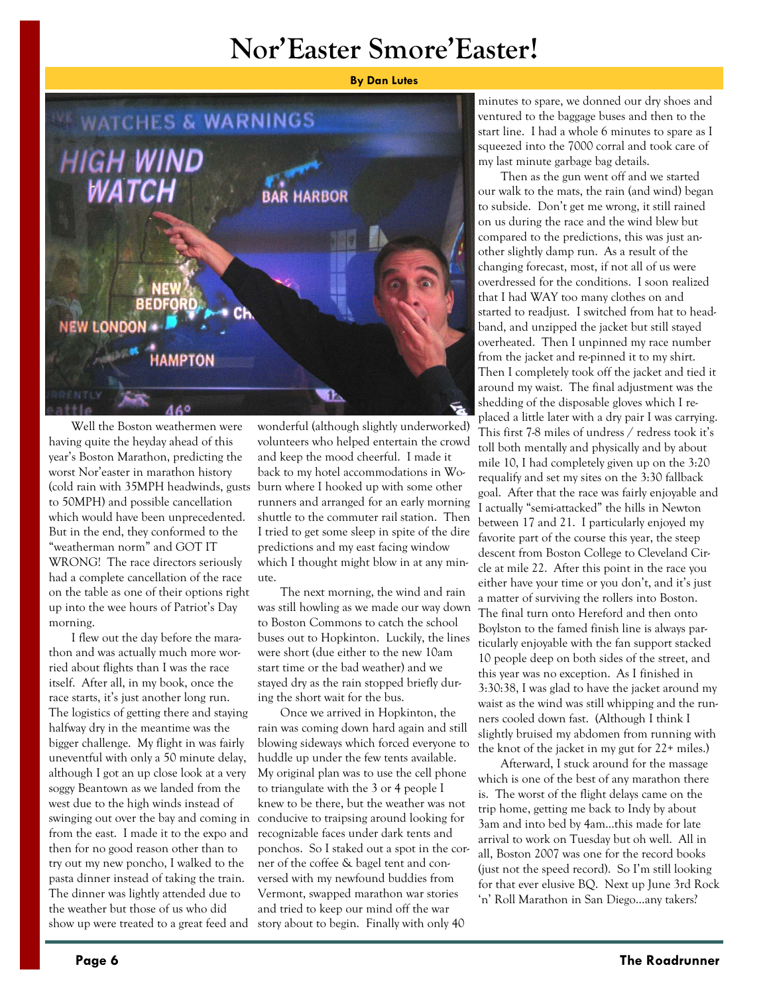## **Nor'Easter Smore'Easter!**



Well the Boston weathermen were having quite the heyday ahead of this year's Boston Marathon, predicting the worst Nor'easter in marathon history (cold rain with 35MPH headwinds, gusts to 50MPH) and possible cancellation which would have been unprecedented. But in the end, they conformed to the "weatherman norm" and GOT IT WRONG! The race directors seriously had a complete cancellation of the race on the table as one of their options right up into the wee hours of Patriot's Day morning.

I flew out the day before the marathon and was actually much more worried about flights than I was the race itself. After all, in my book, once the race starts, it's just another long run. The logistics of getting there and staying halfway dry in the meantime was the bigger challenge. My flight in was fairly uneventful with only a 50 minute delay, although I got an up close look at a very soggy Beantown as we landed from the west due to the high winds instead of swinging out over the bay and coming in from the east. I made it to the expo and then for no good reason other than to try out my new poncho, I walked to the pasta dinner instead of taking the train. The dinner was lightly attended due to the weather but those of us who did show up were treated to a great feed and

wonderful (although slightly underworked) volunteers who helped entertain the crowd and keep the mood cheerful. I made it back to my hotel accommodations in Woburn where I hooked up with some other runners and arranged for an early morning shuttle to the commuter rail station. Then I tried to get some sleep in spite of the dire predictions and my east facing window which I thought might blow in at any minute.

The next morning, the wind and rain was still howling as we made our way down to Boston Commons to catch the school buses out to Hopkinton. Luckily, the lines were short (due either to the new 10am start time or the bad weather) and we stayed dry as the rain stopped briefly during the short wait for the bus.

Once we arrived in Hopkinton, the rain was coming down hard again and still blowing sideways which forced everyone to huddle up under the few tents available. My original plan was to use the cell phone to triangulate with the 3 or 4 people I knew to be there, but the weather was not conducive to traipsing around looking for recognizable faces under dark tents and ponchos. So I staked out a spot in the corner of the coffee & bagel tent and conversed with my newfound buddies from Vermont, swapped marathon war stories and tried to keep our mind off the war story about to begin. Finally with only 40

minutes to spare, we donned our dry shoes and ventured to the baggage buses and then to the start line. I had a whole 6 minutes to spare as I squeezed into the 7000 corral and took care of my last minute garbage bag details.

Then as the gun went off and we started our walk to the mats, the rain (and wind) began to subside. Don't get me wrong, it still rained on us during the race and the wind blew but compared to the predictions, this was just another slightly damp run. As a result of the changing forecast, most, if not all of us were overdressed for the conditions. I soon realized that I had WAY too many clothes on and started to readjust. I switched from hat to headband, and unzipped the jacket but still stayed overheated. Then I unpinned my race number from the jacket and re-pinned it to my shirt. Then I completely took off the jacket and tied it around my waist. The final adjustment was the shedding of the disposable gloves which I replaced a little later with a dry pair I was carrying. This first 7-8 miles of undress / redress took it's toll both mentally and physically and by about mile 10, I had completely given up on the 3:20 requalify and set my sites on the 3:30 fallback goal. After that the race was fairly enjoyable and I actually "semi-attacked" the hills in Newton between 17 and 21. I particularly enjoyed my favorite part of the course this year, the steep descent from Boston College to Cleveland Circle at mile 22. After this point in the race you either have your time or you don't, and it's just a matter of surviving the rollers into Boston. The final turn onto Hereford and then onto Boylston to the famed finish line is always particularly enjoyable with the fan support stacked 10 people deep on both sides of the street, and this year was no exception. As I finished in 3:30:38, I was glad to have the jacket around my waist as the wind was still whipping and the runners cooled down fast. (Although I think I slightly bruised my abdomen from running with the knot of the jacket in my gut for 22+ miles.)

Afterward, I stuck around for the massage which is one of the best of any marathon there is. The worst of the flight delays came on the trip home, getting me back to Indy by about 3am and into bed by 4am…this made for late arrival to work on Tuesday but oh well. All in all, Boston 2007 was one for the record books (just not the speed record). So I'm still looking for that ever elusive BQ. Next up June 3rd Rock 'n' Roll Marathon in San Diego…any takers?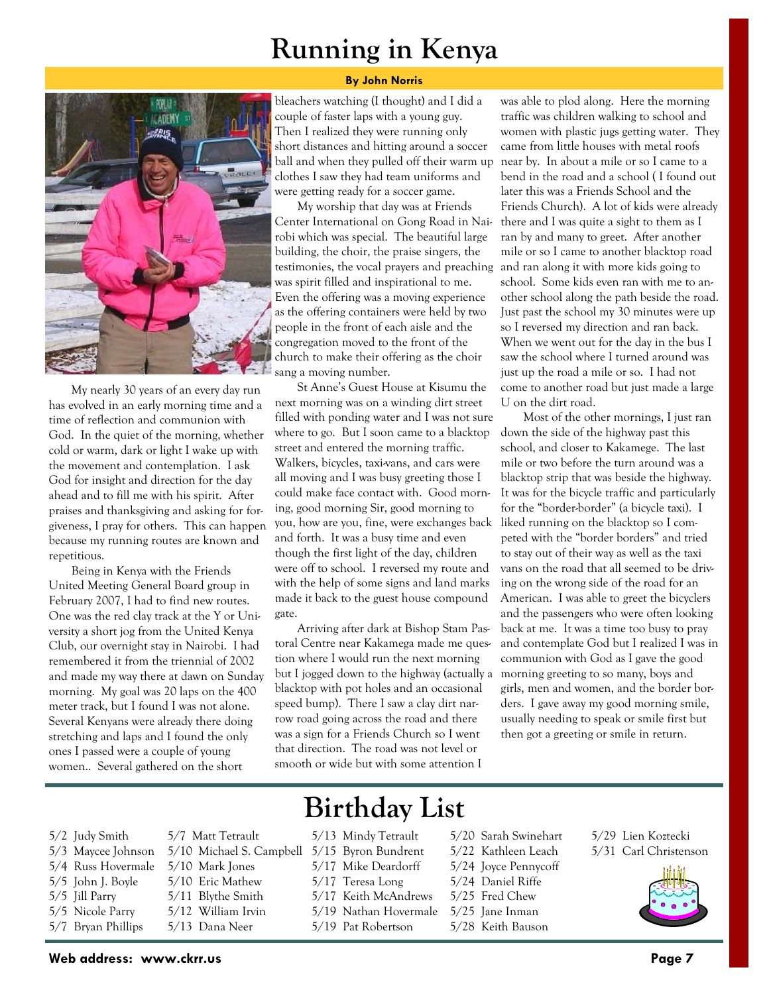## **Running in Kenya**





My nearly 30 years of an every day run has evolved in an early morning time and a time of reflection and communion with God. In the quiet of the morning, whether cold or warm, dark or light I wake up with the movement and contemplation. I ask God for insight and direction for the day ahead and to fill me with his spirit. After praises and thanksgiving and asking for forgiveness, I pray for others. This can happen because my running routes are known and repetitious.

Being in Kenya with the Friends United Meeting General Board group in February 2007, I had to find new routes. One was the red clay track at the Y or University a short jog from the United Kenya Club, our overnight stay in Nairobi. I had remembered it from the triennial of 2002 and made my way there at dawn on Sunday morning. My goal was 20 laps on the 400 meter track, but I found I was not alone. Several Kenyans were already there doing stretching and laps and I found the only ones I passed were a couple of young women.. Several gathered on the short

bleachers watching (I thought) and I did a couple of faster laps with a young guy. Then I realized they were running only short distances and hitting around a soccer ball and when they pulled off their warm up clothes I saw they had team uniforms and were getting ready for a soccer game.

My worship that day was at Friends Center International on Gong Road in Nairobi which was special. The beautiful large building, the choir, the praise singers, the testimonies, the vocal prayers and preaching was spirit filled and inspirational to me. Even the offering was a moving experience as the offering containers were held by two people in the front of each aisle and the congregation moved to the front of the church to make their offering as the choir sang a moving number.

St Anne's Guest House at Kisumu the next morning was on a winding dirt street filled with ponding water and I was not sure where to go. But I soon came to a blacktop street and entered the morning traffic. Walkers, bicycles, taxi-vans, and cars were all moving and I was busy greeting those I could make face contact with. Good morning, good morning Sir, good morning to you, how are you, fine, were exchanges back and forth. It was a busy time and even though the first light of the day, children were off to school. I reversed my route and with the help of some signs and land marks made it back to the guest house compound gate.

Arriving after dark at Bishop Stam Pastoral Centre near Kakamega made me question where I would run the next morning but I jogged down to the highway (actually a blacktop with pot holes and an occasional speed bump). There I saw a clay dirt narrow road going across the road and there was a sign for a Friends Church so I went that direction. The road was not level or smooth or wide but with some attention I

was able to plod along. Here the morning traffic was children walking to school and women with plastic jugs getting water. They came from little houses with metal roofs near by. In about a mile or so I came to a bend in the road and a school ( I found out later this was a Friends School and the Friends Church). A lot of kids were already there and I was quite a sight to them as I ran by and many to greet. After another mile or so I came to another blacktop road and ran along it with more kids going to school. Some kids even ran with me to another school along the path beside the road. Just past the school my 30 minutes were up so I reversed my direction and ran back. When we went out for the day in the bus I saw the school where I turned around was just up the road a mile or so. I had not come to another road but just made a large U on the dirt road.

Most of the other mornings, I just ran down the side of the highway past this school, and closer to Kakamege. The last mile or two before the turn around was a blacktop strip that was beside the highway. It was for the bicycle traffic and particularly for the "border-border" (a bicycle taxi). I liked running on the blacktop so I competed with the "border borders" and tried to stay out of their way as well as the taxi vans on the road that all seemed to be driving on the wrong side of the road for an American. I was able to greet the bicyclers and the passengers who were often looking back at me. It was a time too busy to pray and contemplate God but I realized I was in communion with God as I gave the good morning greeting to so many, boys and girls, men and women, and the border borders. I gave away my good morning smile, usually needing to speak or smile first but then got a greeting or smile in return.

## **Birthday List**

- 5/2 Judy Smith 5/3 Maycee Johnson 5/4 Russ Hovermale 5/5 John J. Boyle 5/5 Jill Parry 5/7 Matt Tetrault 5/10 Mark Jones 5/10 Eric Mathew
	- 5/11 Blythe Smith
	- 5/5 Nicole Parry 5/12 William Irvin
	- 5/7 Bryan Phillips
		- 5/13 Dana Neer
- 5/13 Mindy Tetrault
- 5/10 Michael S. Campbell 5/15 Byron Bundrent
	- 5/17 Mike Deardorff
	- 5/17 Teresa Long
	- 5/17 Keith McAndrews
	- 5/19 Nathan Hovermale
	- 5/19 Pat Robertson
- 5/20 Sarah Swinehart
- 5/22 Kathleen Leach
- 5/24 Joyce Pennycoff
- 5/24 Daniel Riffe
- 5/25 Fred Chew
- 5/25 Jane Inman
- 5/28 Keith Bauson
- 5/29 Lien Koztecki 5/31 Carl Christenson

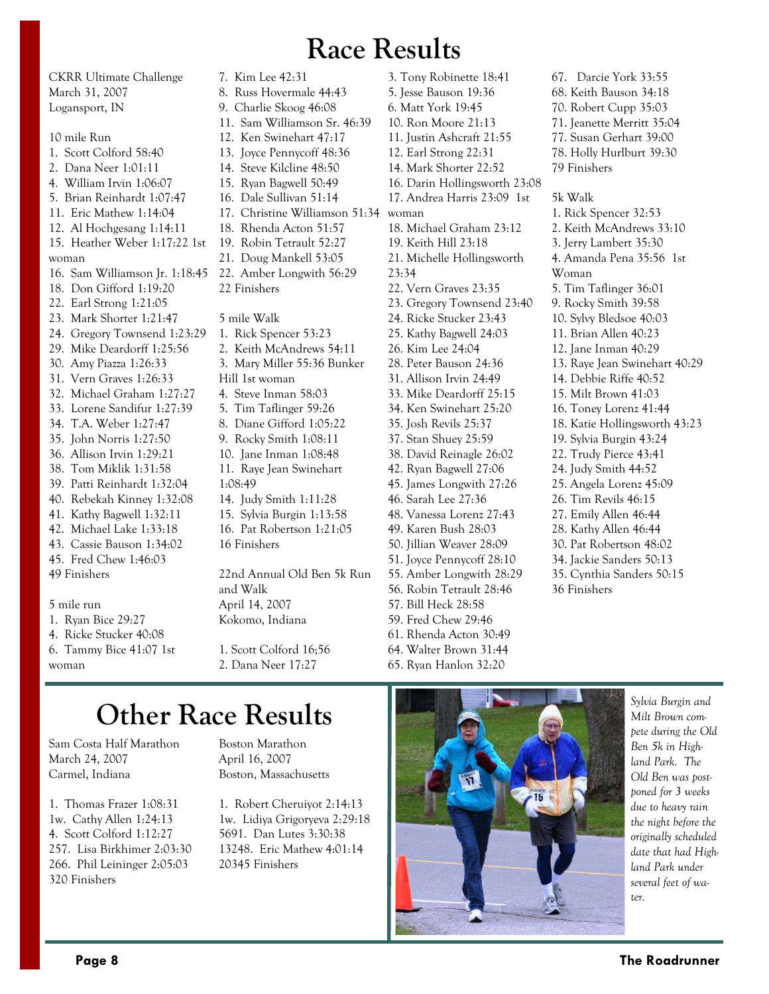## **Race Results**

CKRR Ultimate Challenge March 31, 2007 Logansport, IN 10 mile Run 1. Scott Colford 58:40 2. Dana Neer 1:01:11 4. William Irvin 1:06:07 5. Brian Reinhardt 1:07:47 11. Eric Mathew 1:14:04 12. Al Hochgesang 1:14:11 15. Heather Weber 1:17:22 1st woman 16. Sam Williamson Jr. 1:18:45 18. Don Gifford 1:19:20 22. Earl Strong 1:21:05 23. Mark Shorter 1:21:47 24. Gregory Townsend 1:23:29 29. Mike Deardorff 1:25:56 30. Amy Piazza 1:26:33 31. Vern Graves 1:26:33 32. Michael Graham 1:27:27 33. Lorene Sandifur 1:27:39 34. T.A. Weber 1:27:47 35. John Norris 1:27:50 36. Allison Irvin 1:29:21 38. Tom Miklik 1:31:58 39. Patti Reinhardt 1:32:04 40. Rebekah Kinney 1:32:08 41. Kathy Bagwell 1:32:11 42. Michael Lake 1:33:18 43. Cassie Bauson 1:34:02 45. Fred Chew 1:46:03 49 Finishers 5 mile run 1. Ryan Bice 29:27 4. Ricke Stucker 40:08

7. Kim Lee 42:31 8. Russ Hovermale 44:43 9. Charlie Skoog 46:08 11. Sam Williamson Sr. 46:39 12. Ken Swinehart 47:17 13. Joyce Pennycoff 48:36 14. Steve Kilcline 48:50 15. Ryan Bagwell 50:49 16. Dale Sullivan 51:14 17. Christine Williamson 51:34 18. Rhenda Acton 51:57 19. Robin Tetrault 52:27 21. Doug Mankell 53:05 22. Amber Longwith 56:29 22 Finishers 5 mile Walk 1. Rick Spencer 53:23 2. Keith McAndrews 54:11 3. Mary Miller 55:36 Bunker Hill 1st woman 4. Steve Inman 58:03 5. Tim Taflinger 59:26 8. Diane Gifford 1:05:22 9. Rocky Smith 1:08:11 10. Jane Inman 1:08:48 11. Raye Jean Swinehart 1:08:49 14. Judy Smith 1:11:28 15. Sylvia Burgin 1:13:58 16. Pat Robertson 1:21:05 16 Finishers 22nd Annual Old Ben 5k Run and Walk April 14, 2007 Kokomo, Indiana

1. Scott Colford 16;56 2. Dana Neer 17:27

3. Tony Robinette 18:41 5. Jesse Bauson 19:36 6. Matt York 19:45 10. Ron Moore 21:13 11. Justin Ashcraft 21:55 12. Earl Strong 22:31 14. Mark Shorter 22:52 16. Darin Hollingsworth 23:08 17. Andrea Harris 23:09 1st woman 18. Michael Graham 23:12 19. Keith Hill 23:18 21. Michelle Hollingsworth 23:34 22. Vern Graves 23:35 23. Gregory Townsend 23:40 24. Ricke Stucker 23:43 25. Kathy Bagwell 24:03 26. Kim Lee 24:04 28. Peter Bauson 24:36 31. Allison Irvin 24:49 33. Mike Deardorff 25:15 34. Ken Swinehart 25:20 35. Josh Revils 25:37 37. Stan Shuey 25:59 38. David Reinagle 26:02 42. Ryan Bagwell 27:06 45. James Longwith 27:26 46. Sarah Lee 27:36 48. Vanessa Lorenz 27:43 49. Karen Bush 28:03 50. Jillian Weaver 28:09 51. Joyce Pennycoff 28:10 55. Amber Longwith 28:29 56. Robin Tetrault 28:46 57. Bill Heck 28:58 59. Fred Chew 29:46 61. Rhenda Acton 30:49

64. Walter Brown 31:44 65. Ryan Hanlon 32:20

67. Darcie York 33:55 68. Keith Bauson 34:18 70. Robert Cupp 35:03 71. Jeanette Merritt 35:04 77. Susan Gerhart 39:00 78. Holly Hurlburt 39:30 79 Finishers 5k Walk 1. Rick Spencer 32:53 2. Keith McAndrews 33:10 3. Jerry Lambert 35:30 4. Amanda Pena 35:56 1st Woman 5. Tim Taflinger 36:01 9. Rocky Smith 39:58 10. Sylvy Bledsoe 40:03 11. Brian Allen 40:23 12. Jane Inman 40:29 13. Raye Jean Swinehart 40:29 14. Debbie Riffe 40:52 15. Milt Brown 41:03 16. Toney Lorenz 41:44 18. Katie Hollingsworth 43:23 19. Sylvia Burgin 43:24 22. Trudy Pierce 43:41 24. Judy Smith 44:52 25. Angela Lorenz 45:09 26. Tim Revils 46:15 27. Emily Allen 46:44 28. Kathy Allen 46:44

- 30. Pat Robertson 48:02 34. Jackie Sanders 50:13
- 35. Cynthia Sanders 50:15 36 Finishers

#### 6. Tammy Bice 41:07 1st woman

## **Other Race Results**

Sam Costa Half Marathon March 24, 2007 Carmel, Indiana

1. Thomas Frazer 1:08:31 1w. Cathy Allen 1:24:13 4. Scott Colford 1:12:27 257. Lisa Birkhimer 2:03:30 266. Phil Leininger 2:05:03 320 Finishers

Boston Marathon April 16, 2007 Boston, Massachusetts

1. Robert Cheruiyot 2:14:13 1w. Lidiya Grigoryeva 2:29:18 5691. Dan Lutes 3:30:38 13248. Eric Mathew 4:01:14 20345 Finishers



*Sylvia Burgin and Milt Brown compete during the Old Ben 5k in Highland Park. The Old Ben was postponed for 3 weeks due to heavy rain the night before the originally scheduled date that had Highland Park under several feet of water.*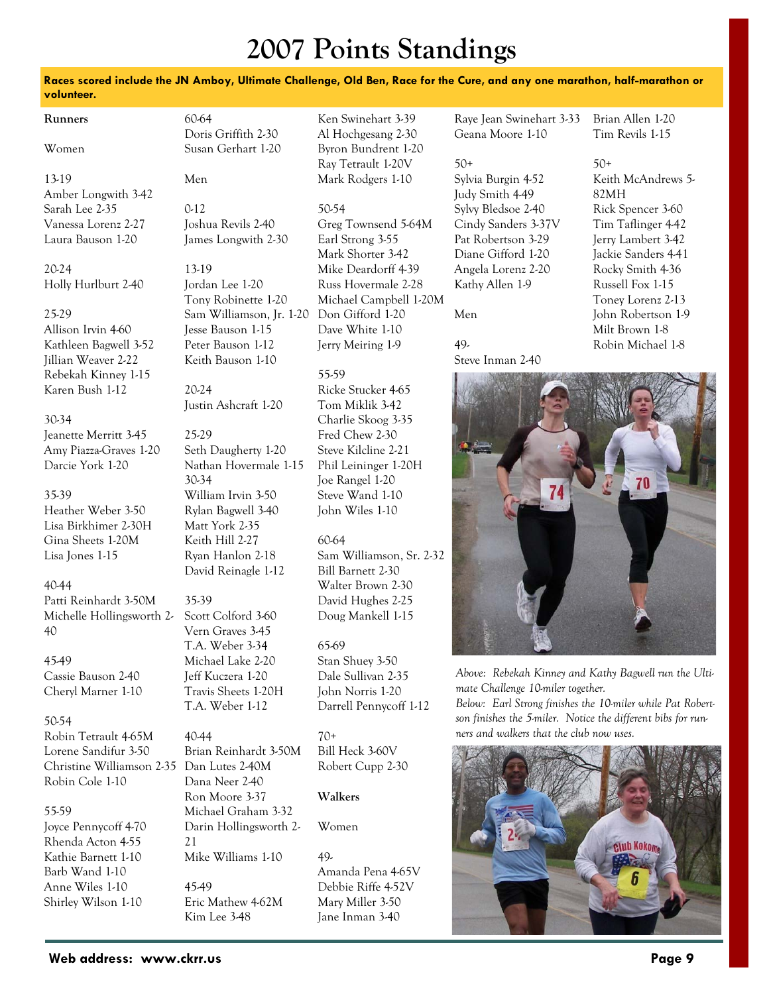## **2007 Points Standings**

### **Races scored include the JN Amboy, Ultimate Challenge, Old Ben, Race for the Cure, and any one marathon, half-marathon or volunteer.**

| Runners                                      | 60-64                                  | Ken Swinehart 3-39                      | Raye Jean Swinehart 3-33                                     | Brian Allen 1-20                     |
|----------------------------------------------|----------------------------------------|-----------------------------------------|--------------------------------------------------------------|--------------------------------------|
|                                              | Doris Griffith 2-30                    | Al Hochgesang 2-30                      | Geana Moore 1-10                                             | Tim Revils 1-15                      |
| Women                                        | Susan Gerhart 1-20                     | Byron Bundrent 1-20                     |                                                              |                                      |
|                                              |                                        | Ray Tetrault 1-20V                      | $50+$                                                        | $50+$                                |
| 13-19                                        | Men                                    | Mark Rodgers 1-10                       | Sylvia Burgin 4-52                                           | Keith McAndrews 5-                   |
| Amber Longwith 3-42                          |                                        |                                         | Judy Smith 4-49                                              | 82MH                                 |
| Sarah Lee 2-35                               | $0-12$                                 | 50-54                                   | Sylvy Bledsoe 2-40                                           | Rick Spencer 3-60                    |
| Vanessa Lorenz 2-27                          | Joshua Revils 2-40                     | Greg Townsend 5-64M                     | Cindy Sanders 3-37V                                          | Tim Taflinger 4-42                   |
| Laura Bauson 1-20                            | James Longwith 2-30                    | Earl Strong 3-55                        | Pat Robertson 3-29                                           | Jerry Lambert 3-42                   |
|                                              |                                        | Mark Shorter 3-42                       | Diane Gifford 1-20                                           | Jackie Sanders 4-41                  |
| 20-24                                        | 13-19                                  | Mike Deardorff 4-39                     | Angela Lorenz 2-20                                           | Rocky Smith 4-36                     |
| Holly Hurlburt 2-40                          | Jordan Lee 1-20                        | Russ Hovermale 2-28                     | Kathy Allen 1-9                                              | Russell Fox 1-15                     |
|                                              | Tony Robinette 1-20                    | Michael Campbell 1-20M                  |                                                              | Toney Lorenz 2-13                    |
| 25-29                                        | Sam Williamson, Jr. 1-20               | Don Gifford 1-20                        | Men                                                          | John Robertson 1-9<br>Milt Brown 1-8 |
| Allison Irvin 4-60                           | Jesse Bauson 1-15                      | Dave White 1-10                         | 49.                                                          | Robin Michael 1-8                    |
| Kathleen Bagwell 3-52<br>Jillian Weaver 2-22 | Peter Bauson 1-12<br>Keith Bauson 1-10 | Jerry Meiring 1-9                       | Steve Inman 2-40                                             |                                      |
| Rebekah Kinney 1-15                          |                                        | 55-59                                   |                                                              |                                      |
| Karen Bush 1-12                              | 20-24                                  | Ricke Stucker 4-65                      |                                                              |                                      |
|                                              | Justin Ashcraft 1-20                   | Tom Miklik 3-42                         |                                                              |                                      |
| 30-34                                        |                                        | Charlie Skoog 3-35                      |                                                              |                                      |
| Jeanette Merritt 3-45                        | 25-29                                  | Fred Chew 2-30                          |                                                              |                                      |
| Amy Piazza-Graves 1-20                       | Seth Daugherty 1-20                    | Steve Kilcline 2-21                     |                                                              |                                      |
| Darcie York 1-20                             | Nathan Hovermale 1-15                  | Phil Leininger 1-20H                    |                                                              |                                      |
|                                              | 30-34                                  | Joe Rangel 1-20                         |                                                              | 70                                   |
| 35-39                                        | William Irvin 3-50                     | Steve Wand 1-10                         | 74                                                           |                                      |
| Heather Weber 3-50                           | Rylan Bagwell 3-40                     | John Wiles 1-10                         |                                                              |                                      |
| Lisa Birkhimer 2-30H                         | Matt York 2-35                         |                                         |                                                              |                                      |
| Gina Sheets 1-20M                            | Keith Hill 2-27                        | 60-64                                   |                                                              |                                      |
| Lisa Jones 1-15                              | Ryan Hanlon 2-18                       | Sam Williamson, Sr. 2-32                |                                                              |                                      |
|                                              | David Reinagle 1-12                    | Bill Barnett 2-30                       |                                                              |                                      |
| 40-44                                        |                                        | Walter Brown 2-30                       |                                                              |                                      |
| Patti Reinhardt 3-50M                        | 35-39<br>Scott Colford 3-60            | David Hughes 2-25                       |                                                              |                                      |
| Michelle Hollingsworth 2-<br>40              | Vern Graves 3-45                       | Doug Mankell 1-15                       |                                                              |                                      |
|                                              | T.A. Weber 3-34                        | 65-69                                   |                                                              |                                      |
| 45-49                                        | Michael Lake 2-20                      | Stan Shuey 3-50                         |                                                              |                                      |
| Cassie Bauson 2-40                           | Jeff Kuczera 1-20                      | Dale Sullivan 2-35                      | Above: Rebekah Kinney and Kathy Bagwell run the Ulti-        |                                      |
| Cheryl Marner 1-10                           | Travis Sheets 1-20H                    | John Norris 1-20                        | mate Challenge 10-miler together.                            |                                      |
|                                              | T.A. Weber 1-12                        | Darrell Pennycoff 1-12                  | Below: Earl Strong finishes the 10-miler while Pat Robert-   |                                      |
| 50-54                                        |                                        |                                         | son finishes the 5-miler. Notice the different bibs for run- |                                      |
| Robin Tetrault 4-65M                         | 40-44                                  | $70+$                                   | ners and walkers that the club now uses.                     |                                      |
| Lorene Sandifur 3-50                         | Brian Reinhardt 3-50M                  | Bill Heck 3-60V                         |                                                              |                                      |
| Christine Williamson 2-35                    | Dan Lutes 2-40M                        | Robert Cupp 2-30                        |                                                              |                                      |
| Robin Cole 1-10                              | Dana Neer 2-40                         |                                         |                                                              |                                      |
|                                              | Ron Moore 3-37                         | Walkers                                 |                                                              |                                      |
| 55-59                                        | Michael Graham 3-32                    |                                         |                                                              |                                      |
| Joyce Pennycoff 4-70                         | Darin Hollingsworth 2-                 | Women                                   |                                                              |                                      |
| Rhenda Acton 4-55                            | 21                                     |                                         |                                                              | <b>Club Kokoma</b>                   |
| Kathie Barnett 1-10<br>Barb Wand 1-10        | Mike Williams 1-10                     | 49.                                     |                                                              |                                      |
| Anne Wiles 1-10                              | 45-49                                  | Amanda Pena 4-65V<br>Debbie Riffe 4-52V |                                                              |                                      |
| Shirley Wilson 1-10                          | Eric Mathew 4-62M                      | Mary Miller 3-50                        |                                                              |                                      |
|                                              | Kim Lee 3-48                           | Jane Inman 3-40                         |                                                              |                                      |
|                                              |                                        |                                         |                                                              |                                      |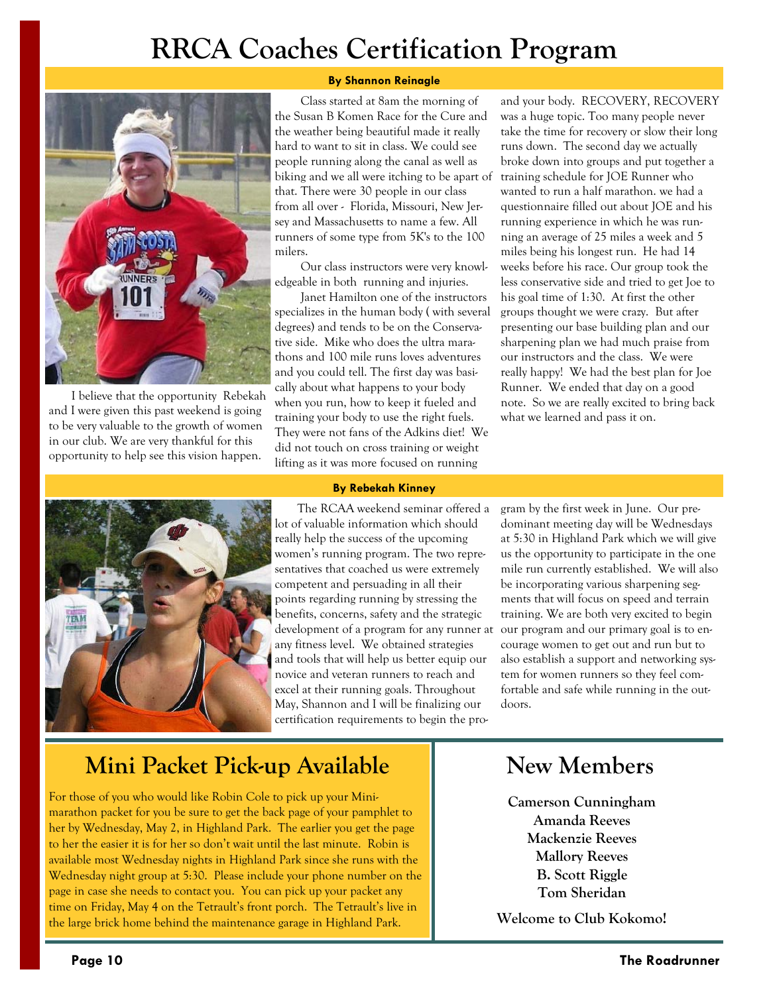## **RRCA Coaches Certification Program**



I believe that the opportunity Rebekah and I were given this past weekend is going to be very valuable to the growth of women in our club. We are very thankful for this opportunity to help see this vision happen.

### **By Shannon Reinagle**

 Class started at 8am the morning of the Susan B Komen Race for the Cure and the weather being beautiful made it really hard to want to sit in class. We could see people running along the canal as well as biking and we all were itching to be apart of that. There were 30 people in our class from all over - Florida, Missouri, New Jersey and Massachusetts to name a few. All runners of some type from 5K's to the 100 milers.

 Our class instructors were very knowledgeable in both running and injuries.

 Janet Hamilton one of the instructors specializes in the human body ( with several degrees) and tends to be on the Conservative side. Mike who does the ultra marathons and 100 mile runs loves adventures and you could tell. The first day was basically about what happens to your body when you run, how to keep it fueled and training your body to use the right fuels. They were not fans of the Adkins diet! We did not touch on cross training or weight lifting as it was more focused on running

and your body. RECOVERY, RECOVERY was a huge topic. Too many people never take the time for recovery or slow their long runs down. The second day we actually broke down into groups and put together a training schedule for JOE Runner who wanted to run a half marathon. we had a questionnaire filled out about JOE and his running experience in which he was running an average of 25 miles a week and 5 miles being his longest run. He had 14 weeks before his race. Our group took the less conservative side and tried to get Joe to his goal time of 1:30. At first the other groups thought we were crazy. But after presenting our base building plan and our sharpening plan we had much praise from our instructors and the class. We were really happy! We had the best plan for Joe Runner. We ended that day on a good note. So we are really excited to bring back what we learned and pass it on.



#### **By Rebekah Kinney**

The RCAA weekend seminar offered a lot of valuable information which should really help the success of the upcoming women's running program. The two representatives that coached us were extremely competent and persuading in all their points regarding running by stressing the benefits, concerns, safety and the strategic development of a program for any runner at any fitness level. We obtained strategies and tools that will help us better equip our novice and veteran runners to reach and excel at their running goals. Throughout May, Shannon and I will be finalizing our certification requirements to begin the pro-

gram by the first week in June. Our predominant meeting day will be Wednesdays at 5:30 in Highland Park which we will give us the opportunity to participate in the one mile run currently established. We will also be incorporating various sharpening segments that will focus on speed and terrain training. We are both very excited to begin our program and our primary goal is to encourage women to get out and run but to also establish a support and networking system for women runners so they feel comfortable and safe while running in the outdoors.

### **Mini Packet Pick-up Available | New Members**

For those of you who would like Robin Cole to pick up your Minimarathon packet for you be sure to get the back page of your pamphlet to her by Wednesday, May 2, in Highland Park. The earlier you get the page to her the easier it is for her so don't wait until the last minute. Robin is available most Wednesday nights in Highland Park since she runs with the Wednesday night group at 5:30. Please include your phone number on the page in case she needs to contact you. You can pick up your packet any time on Friday, May 4 on the Tetrault's front porch. The Tetrault's live in the large brick home behind the maintenance garage in Highland Park.

**Camerson Cunningham Amanda Reeves Mackenzie Reeves Mallory Reeves B. Scott Riggle Tom Sheridan** 

**Welcome to Club Kokomo!**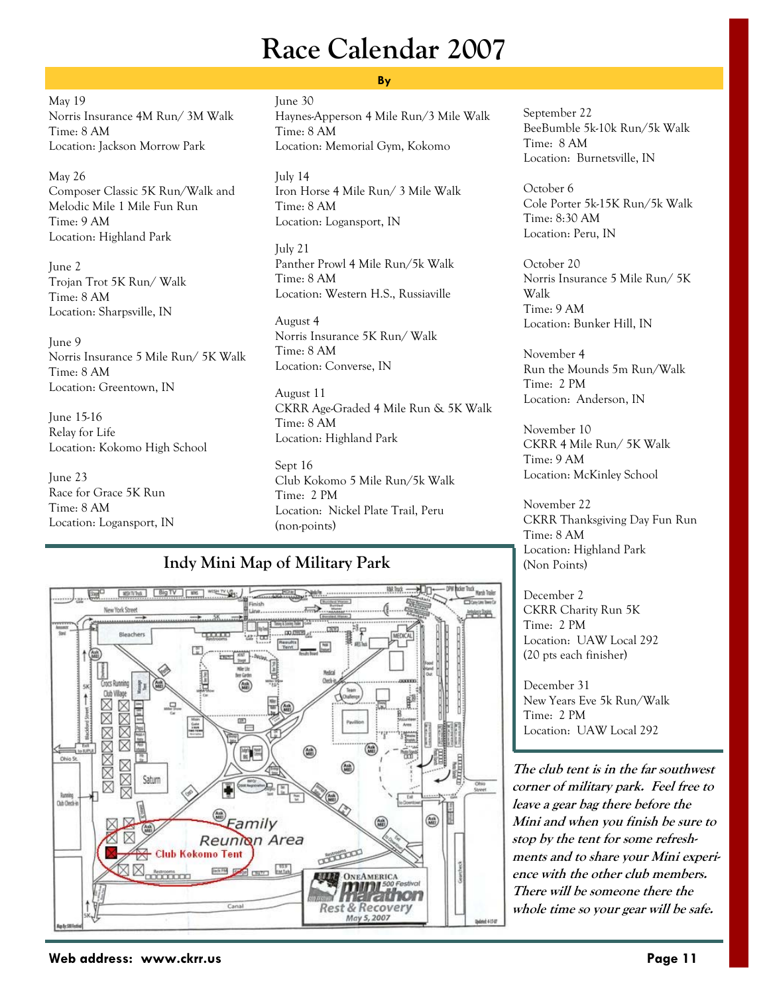## **Race Calendar 2007**

May 19 Norris Insurance 4M Run/ 3M Walk Time: 8 AM Location: Jackson Morrow Park

May 26 Composer Classic 5K Run/Walk and Melodic Mile 1 Mile Fun Run Time: 9 AM Location: Highland Park

June 2 Trojan Trot 5K Run/ Walk Time: 8 AM Location: Sharpsville, IN

June 9 Norris Insurance 5 Mile Run/ 5K Walk Time: 8 AM Location: Greentown, IN

June 15-16 Relay for Life Location: Kokomo High School

June 23 Race for Grace 5K Run Time: 8 AM Location: Logansport, IN

### **By**

June 30 Haynes-Apperson 4 Mile Run/3 Mile Walk Time: 8 AM Location: Memorial Gym, Kokomo

July 14 Iron Horse 4 Mile Run/ 3 Mile Walk Time: 8 AM Location: Logansport, IN

July 21 Panther Prowl 4 Mile Run/5k Walk Time: 8 AM Location: Western H.S., Russiaville

August 4 Norris Insurance 5K Run/ Walk Time: 8 AM Location: Converse, IN

August 11 CKRR Age-Graded 4 Mile Run & 5K Walk Time: 8 AM Location: Highland Park

Sept 16 Club Kokomo 5 Mile Run/5k Walk Time: 2 PM Location: Nickel Plate Trail, Peru (non-points)

### **Indy Mini Map of Military Park**



September 22 BeeBumble 5k-10k Run/5k Walk Time: 8 AM Location: Burnetsville, IN

October 6 Cole Porter 5k-15K Run/5k Walk Time: 8:30 AM Location: Peru, IN

October 20 Norris Insurance 5 Mile Run/ 5K Walk Time: 9 AM Location: Bunker Hill, IN

November 4 Run the Mounds 5m Run/Walk Time: 2 PM Location: Anderson, IN

November 10 CKRR 4 Mile Run/ 5K Walk Time: 9 AM Location: McKinley School

November 22 CKRR Thanksgiving Day Fun Run Time: 8 AM Location: Highland Park (Non Points)

December 2 CKRR Charity Run 5K Time: 2 PM Location: UAW Local 292 (20 pts each finisher)

December 31 New Years Eve 5k Run/Walk Time: 2 PM Location: UAW Local 292

**The club tent is in the far southwest corner of military park. Feel free to leave a gear bag there before the Mini and when you finish be sure to stop by the tent for some refreshments and to share your Mini experience with the other club members. There will be someone there the whole time so your gear will be safe.**